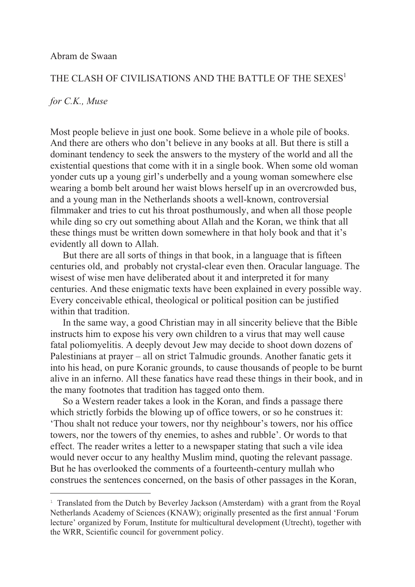#### Abram de Swaan

# THE CLASH OF CIVILISATIONS AND THE BATTLE OF THE SEXES<sup>1</sup>

### *for C.K., Muse*

i<br>L

Most people believe in just one book. Some believe in a whole pile of books. And there are others who don't believe in any books at all. But there is still a dominant tendency to seek the answers to the mystery of the world and all the existential questions that come with it in a single book. When some old woman yonder cuts up a young girl's underbelly and a young woman somewhere else wearing a bomb belt around her waist blows herself up in an overcrowded bus, and a young man in the Netherlands shoots a well-known, controversial filmmaker and tries to cut his throat posthumously, and when all those people while ding so cry out something about Allah and the Koran, we think that all these things must be written down somewhere in that holy book and that it's evidently all down to Allah.

But there are all sorts of things in that book, in a language that is fifteen centuries old, and probably not crystal-clear even then. Oracular language. The wisest of wise men have deliberated about it and interpreted it for many centuries. And these enigmatic texts have been explained in every possible way. Every conceivable ethical, theological or political position can be justified within that tradition.

In the same way, a good Christian may in all sincerity believe that the Bible instructs him to expose his very own children to a virus that may well cause fatal poliomyelitis. A deeply devout Jew may decide to shoot down dozens of Palestinians at prayer – all on strict Talmudic grounds. Another fanatic gets it into his head, on pure Koranic grounds, to cause thousands of people to be burnt alive in an inferno. All these fanatics have read these things in their book, and in the many footnotes that tradition has tagged onto them.

So a Western reader takes a look in the Koran, and finds a passage there which strictly forbids the blowing up of office towers, or so he construes it: 'Thou shalt not reduce your towers, nor thy neighbour's towers, nor his office towers, nor the towers of thy enemies, to ashes and rubble'. Or words to that effect. The reader writes a letter to a newspaper stating that such a vile idea would never occur to any healthy Muslim mind, quoting the relevant passage. But he has overlooked the comments of a fourteenth-century mullah who construes the sentences concerned, on the basis of other passages in the Koran,

<sup>&</sup>lt;sup>1</sup> Translated from the Dutch by Beverley Jackson (Amsterdam) with a grant from the Royal Netherlands Academy of Sciences (KNAW); originally presented as the first annual 'Forum lecture' organized by Forum, Institute for multicultural development (Utrecht), together with the WRR, Scientific council for government policy.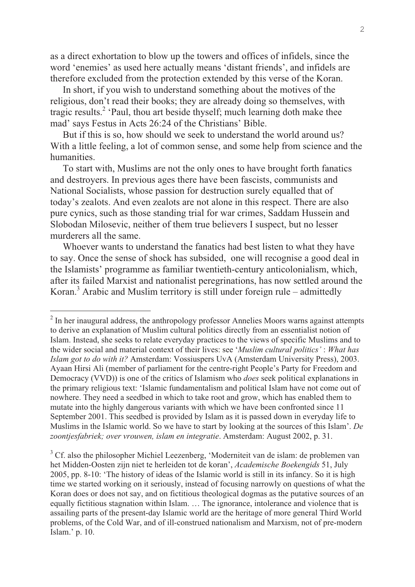as a direct exhortation to blow up the towers and offices of infidels, since the word 'enemies' as used here actually means 'distant friends', and infidels are therefore excluded from the protection extended by this verse of the Koran.

In short, if you wish to understand something about the motives of the religious, don't read their books; they are already doing so themselves, with tragic results.<sup>2</sup> 'Paul, thou art beside thyself; much learning doth make thee mad' says Festus in Acts 26:24 of the Christians' Bible.

But if this is so, how should we seek to understand the world around us? With a little feeling, a lot of common sense, and some help from science and the humanities.

To start with, Muslims are not the only ones to have brought forth fanatics and destroyers. In previous ages there have been fascists, communists and National Socialists, whose passion for destruction surely equalled that of today's zealots. And even zealots are not alone in this respect. There are also pure cynics, such as those standing trial for war crimes, Saddam Hussein and Slobodan Milosevic, neither of them true believers I suspect, but no lesser murderers all the same.

Whoever wants to understand the fanatics had best listen to what they have to say. Once the sense of shock has subsided, one will recognise a good deal in the Islamists' programme as familiar twentieth-century anticolonialism, which, after its failed Marxist and nationalist peregrinations, has now settled around the Koran.<sup>3</sup> Arabic and Muslim territory is still under foreign rule – admittedly

 $2$  In her inaugural address, the anthropology professor Annelies Moors warns against attempts to derive an explanation of Muslim cultural politics directly from an essentialist notion of Islam. Instead, she seeks to relate everyday practices to the views of specific Muslims and to the wider social and material context of their lives: see '*Muslim cultural politics'* : *What has Islam got to do with it?* Amsterdam: Vossiuspers UvA (Amsterdam University Press), 2003. Ayaan Hirsi Ali (member of parliament for the centre-right People's Party for Freedom and Democracy (VVD)) is one of the critics of Islamism who *does* seek political explanations in the primary religious text: 'Islamic fundamentalism and political Islam have not come out of nowhere. They need a seedbed in which to take root and grow, which has enabled them to mutate into the highly dangerous variants with which we have been confronted since 11 September 2001. This seedbed is provided by Islam as it is passed down in everyday life to Muslims in the Islamic world. So we have to start by looking at the sources of this Islam'. *De zoontjesfabriek; over vrouwen, islam en integratie*. Amsterdam: August 2002, p. 31.

<sup>&</sup>lt;sup>3</sup> Cf. also the philosopher Michiel Leezenberg, 'Moderniteit van de islam: de problemen van het Midden-Oosten zijn niet te herleiden tot de koran', *Academische Boekengids* 51, July 2005, pp. 8-10: 'The history of ideas of the Islamic world is still in its infancy. So it is high time we started working on it seriously, instead of focusing narrowly on questions of what the Koran does or does not say, and on fictitious theological dogmas as the putative sources of an equally fictitious stagnation within Islam. … The ignorance, intolerance and violence that is assailing parts of the present-day Islamic world are the heritage of more general Third World problems, of the Cold War, and of ill-construed nationalism and Marxism, not of pre-modern Islam.' p. 10.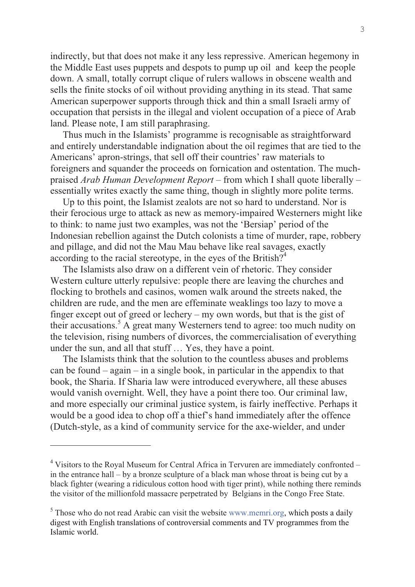indirectly, but that does not make it any less repressive. American hegemony in the Middle East uses puppets and despots to pump up oil and keep the people down. A small, totally corrupt clique of rulers wallows in obscene wealth and sells the finite stocks of oil without providing anything in its stead. That same American superpower supports through thick and thin a small Israeli army of occupation that persists in the illegal and violent occupation of a piece of Arab land. Please note, I am still paraphrasing.

Thus much in the Islamists' programme is recognisable as straightforward and entirely understandable indignation about the oil regimes that are tied to the Americans' apron-strings, that sell off their countries' raw materials to foreigners and squander the proceeds on fornication and ostentation. The muchpraised *Arab Human Development Report* – from which I shall quote liberally – essentially writes exactly the same thing, though in slightly more polite terms.

Up to this point, the Islamist zealots are not so hard to understand. Nor is their ferocious urge to attack as new as memory-impaired Westerners might like to think: to name just two examples, was not the 'Bersiap' period of the Indonesian rebellion against the Dutch colonists a time of murder, rape, robbery and pillage, and did not the Mau Mau behave like real savages, exactly according to the racial stereotype, in the eyes of the British?<sup>4</sup>

The Islamists also draw on a different vein of rhetoric. They consider Western culture utterly repulsive: people there are leaving the churches and flocking to brothels and casinos, women walk around the streets naked, the children are rude, and the men are effeminate weaklings too lazy to move a finger except out of greed or lechery – my own words, but that is the gist of their accusations.<sup>5</sup> A great many Westerners tend to agree: too much nudity on the television, rising numbers of divorces, the commercialisation of everything under the sun, and all that stuff … Yes, they have a point.

The Islamists think that the solution to the countless abuses and problems can be found  $-$  again  $-$  in a single book, in particular in the appendix to that book, the Sharia. If Sharia law were introduced everywhere, all these abuses would vanish overnight. Well, they have a point there too. Our criminal law, and more especially our criminal justice system, is fairly ineffective. Perhaps it would be a good idea to chop off a thief's hand immediately after the offence (Dutch-style, as a kind of community service for the axe-wielder, and under

 $4$  Visitors to the Royal Museum for Central Africa in Tervuren are immediately confronted – in the entrance hall – by a bronze sculpture of a black man whose throat is being cut by a black fighter (wearing a ridiculous cotton hood with tiger print), while nothing there reminds the visitor of the millionfold massacre perpetrated by Belgians in the Congo Free State.

 $<sup>5</sup>$  Those who do not read Arabic can visit the website www.memri.org, which posts a daily</sup> digest with English translations of controversial comments and TV programmes from the Islamic world.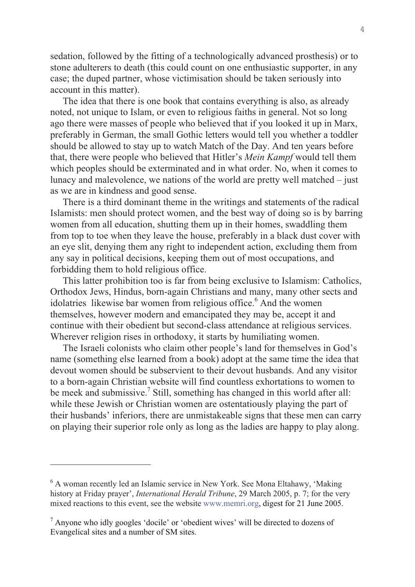sedation, followed by the fitting of a technologically advanced prosthesis) or to stone adulterers to death (this could count on one enthusiastic supporter, in any case; the duped partner, whose victimisation should be taken seriously into account in this matter).

The idea that there is one book that contains everything is also, as already noted, not unique to Islam, or even to religious faiths in general. Not so long ago there were masses of people who believed that if you looked it up in Marx, preferably in German, the small Gothic letters would tell you whether a toddler should be allowed to stay up to watch Match of the Day. And ten years before that, there were people who believed that Hitler's *Mein Kampf* would tell them which peoples should be exterminated and in what order. No, when it comes to lunacy and malevolence, we nations of the world are pretty well matched – just as we are in kindness and good sense.

There is a third dominant theme in the writings and statements of the radical Islamists: men should protect women, and the best way of doing so is by barring women from all education, shutting them up in their homes, swaddling them from top to toe when they leave the house, preferably in a black dust cover with an eye slit, denying them any right to independent action, excluding them from any say in political decisions, keeping them out of most occupations, and forbidding them to hold religious office.

This latter prohibition too is far from being exclusive to Islamism: Catholics, Orthodox Jews, Hindus, born-again Christians and many, many other sects and idolatries likewise bar women from religious office.<sup>6</sup> And the women themselves, however modern and emancipated they may be, accept it and continue with their obedient but second-class attendance at religious services. Wherever religion rises in orthodoxy, it starts by humiliating women.

The Israeli colonists who claim other people's land for themselves in God's name (something else learned from a book) adopt at the same time the idea that devout women should be subservient to their devout husbands. And any visitor to a born-again Christian website will find countless exhortations to women to be meek and submissive.<sup>7</sup> Still, something has changed in this world after all: while these Jewish or Christian women are ostentatiously playing the part of their husbands' inferiors, there are unmistakeable signs that these men can carry on playing their superior role only as long as the ladies are happy to play along.

<sup>&</sup>lt;sup>6</sup> A woman recently led an Islamic service in New York. See Mona Eltahawy, 'Making history at Friday prayer', *International Herald Tribune*, 29 March 2005, p. 7; for the very mixed reactions to this event, see the website www.memri.org, digest for 21 June 2005.

 $<sup>7</sup>$  Anyone who idly googles 'docile' or 'obedient wives' will be directed to dozens of</sup> Evangelical sites and a number of SM sites.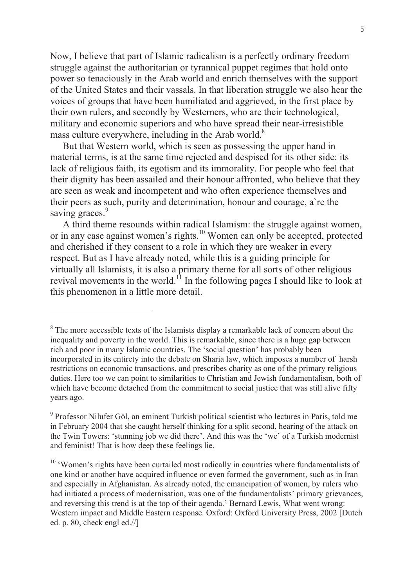Now, I believe that part of Islamic radicalism is a perfectly ordinary freedom struggle against the authoritarian or tyrannical puppet regimes that hold onto power so tenaciously in the Arab world and enrich themselves with the support of the United States and their vassals. In that liberation struggle we also hear the voices of groups that have been humiliated and aggrieved, in the first place by their own rulers, and secondly by Westerners, who are their technological, military and economic superiors and who have spread their near-irresistible mass culture everywhere, including in the Arab world. $8$ 

But that Western world, which is seen as possessing the upper hand in material terms, is at the same time rejected and despised for its other side: its lack of religious faith, its egotism and its immorality. For people who feel that their dignity has been assailed and their honour affronted, who believe that they are seen as weak and incompetent and who often experience themselves and their peers as such, purity and determination, honour and courage, a`re the saving graces.<sup>9</sup>

A third theme resounds within radical Islamism: the struggle against women, or in any case against women's rights.10 Women can only be accepted, protected and cherished if they consent to a role in which they are weaker in every respect. But as I have already noted, while this is a guiding principle for virtually all Islamists, it is also a primary theme for all sorts of other religious revival movements in the world.<sup>11</sup> In the following pages I should like to look at this phenomenon in a little more detail.

 $8$  The more accessible texts of the Islamists display a remarkable lack of concern about the inequality and poverty in the world. This is remarkable, since there is a huge gap between rich and poor in many Islamic countries. The 'social question' has probably been incorporated in its entirety into the debate on Sharia law, which imposes a number of harsh restrictions on economic transactions, and prescribes charity as one of the primary religious duties. Here too we can point to similarities to Christian and Jewish fundamentalism, both of which have become detached from the commitment to social justice that was still alive fifty years ago.

<sup>&</sup>lt;sup>9</sup> Professor Nilufer Göl, an eminent Turkish political scientist who lectures in Paris, told me in February 2004 that she caught herself thinking for a split second, hearing of the attack on the Twin Towers: 'stunning job we did there'. And this was the 'we' of a Turkish modernist and feminist! That is how deep these feelings lie.

<sup>&</sup>lt;sup>10</sup> 'Women's rights have been curtailed most radically in countries where fundamentalists of one kind or another have acquired influence or even formed the government, such as in Iran and especially in Afghanistan. As already noted, the emancipation of women, by rulers who had initiated a process of modernisation, was one of the fundamentalists' primary grievances, and reversing this trend is at the top of their agenda.' Bernard Lewis, What went wrong: Western impact and Middle Eastern response. Oxford: Oxford University Press, 2002 [Dutch ed. p. 80, check engl ed.//]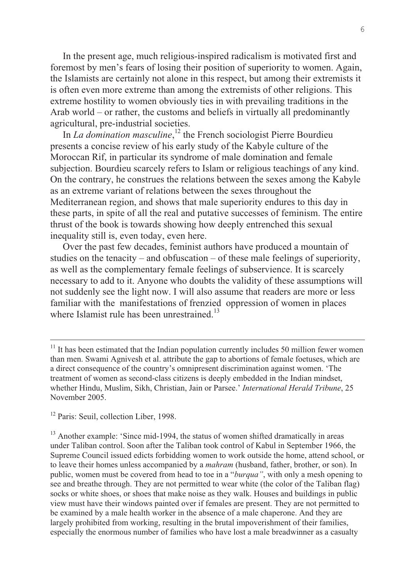In the present age, much religious-inspired radicalism is motivated first and foremost by men's fears of losing their position of superiority to women. Again, the Islamists are certainly not alone in this respect, but among their extremists it is often even more extreme than among the extremists of other religions. This extreme hostility to women obviously ties in with prevailing traditions in the Arab world – or rather, the customs and beliefs in virtually all predominantly agricultural, pre-industrial societies.

In *La domination masculine*,<sup>12</sup> the French sociologist Pierre Bourdieu presents a concise review of his early study of the Kabyle culture of the Moroccan Rif, in particular its syndrome of male domination and female subjection. Bourdieu scarcely refers to Islam or religious teachings of any kind. On the contrary, he construes the relations between the sexes among the Kabyle as an extreme variant of relations between the sexes throughout the Mediterranean region, and shows that male superiority endures to this day in these parts, in spite of all the real and putative successes of feminism. The entire thrust of the book is towards showing how deeply entrenched this sexual inequality still is, even today, even here.

Over the past few decades, feminist authors have produced a mountain of studies on the tenacity – and obfuscation – of these male feelings of superiority, as well as the complementary female feelings of subservience. It is scarcely necessary to add to it. Anyone who doubts the validity of these assumptions will not suddenly see the light now. I will also assume that readers are more or less familiar with the manifestations of frenzied oppression of women in places where Islamist rule has been unrestrained.<sup>13</sup>

 $11$  It has been estimated that the Indian population currently includes 50 million fewer women than men. Swami Agnivesh et al. attribute the gap to abortions of female foetuses, which are a direct consequence of the country's omnipresent discrimination against women. 'The treatment of women as second-class citizens is deeply embedded in the Indian mindset, whether Hindu, Muslim, Sikh, Christian, Jain or Parsee.' *International Herald Tribune*, 25 November 2005.

<sup>&</sup>lt;sup>12</sup> Paris: Seuil, collection Liber, 1998.

 $13$  Another example: 'Since mid-1994, the status of women shifted dramatically in areas under Taliban control. Soon after the Taliban took control of Kabul in September 1966, the Supreme Council issued edicts forbidding women to work outside the home, attend school, or to leave their homes unless accompanied by a *mahram* (husband, father, brother, or son). In public, women must be covered from head to toe in a "*burqua"*, with only a mesh opening to see and breathe through. They are not permitted to wear white (the color of the Taliban flag) socks or white shoes, or shoes that make noise as they walk. Houses and buildings in public view must have their windows painted over if females are present. They are not permitted to be examined by a male health worker in the absence of a male chaperone. And they are largely prohibited from working, resulting in the brutal impoverishment of their families, especially the enormous number of families who have lost a male breadwinner as a casualty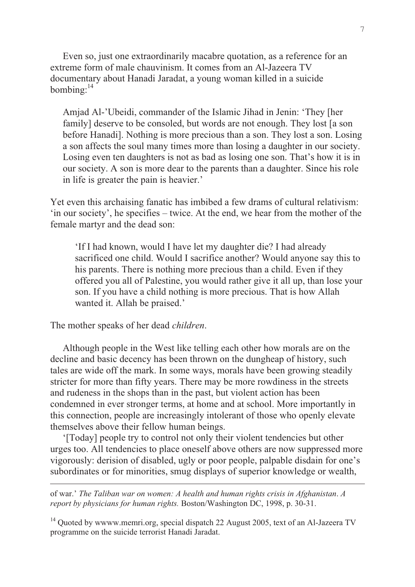Even so, just one extraordinarily macabre quotation, as a reference for an extreme form of male chauvinism. It comes from an Al-Jazeera TV documentary about Hanadi Jaradat, a young woman killed in a suicide bombing: $^{14}$ 

Amjad Al-'Ubeidi, commander of the Islamic Jihad in Jenin: 'They [her family] deserve to be consoled, but words are not enough. They lost [a son before Hanadi]. Nothing is more precious than a son. They lost a son. Losing a son affects the soul many times more than losing a daughter in our society. Losing even ten daughters is not as bad as losing one son. That's how it is in our society. A son is more dear to the parents than a daughter. Since his role in life is greater the pain is heavier.'

Yet even this archaising fanatic has imbibed a few drams of cultural relativism: 'in our society', he specifies – twice. At the end, we hear from the mother of the female martyr and the dead son:

'If I had known, would I have let my daughter die? I had already sacrificed one child. Would I sacrifice another? Would anyone say this to his parents. There is nothing more precious than a child. Even if they offered you all of Palestine, you would rather give it all up, than lose your son. If you have a child nothing is more precious. That is how Allah wanted it. Allah be praised.'

The mother speaks of her dead *children*.

e<br>H

Although people in the West like telling each other how morals are on the decline and basic decency has been thrown on the dungheap of history, such tales are wide off the mark. In some ways, morals have been growing steadily stricter for more than fifty years. There may be more rowdiness in the streets and rudeness in the shops than in the past, but violent action has been condemned in ever stronger terms, at home and at school. More importantly in this connection, people are increasingly intolerant of those who openly elevate themselves above their fellow human beings.

'[Today] people try to control not only their violent tendencies but other urges too. All tendencies to place oneself above others are now suppressed more vigorously: derision of disabled, ugly or poor people, palpable disdain for one's subordinates or for minorities, smug displays of superior knowledge or wealth,

of war.' *The Taliban war on women: A health and human rights crisis in Afghanistan*. *A report by physicians for human rights.* Boston/Washington DC, 1998, p. 30-31.

 $14$  Quoted by wwww.memri.org, special dispatch 22 August 2005, text of an Al-Jazeera TV programme on the suicide terrorist Hanadi Jaradat.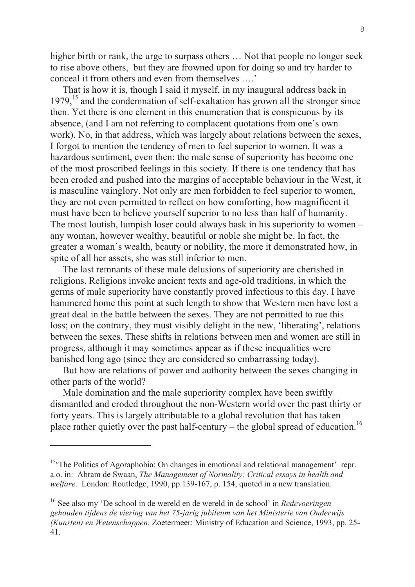higher birth or rank, the urge to surpass others ... Not that people no longer seek to rise above others, but they are frowned upon for doing so and try harder to conceal it from others and even from themselves ….'

That is how it is, though I said it myself, in my inaugural address back in 1979, $15$  and the condemnation of self-exaltation has grown all the stronger since then. Yet there is one element in this enumeration that is conspicuous by its absence, (and I am not referring to complacent quotations from one's own work). No, in that address, which was largely about relations between the sexes, I forgot to mention the tendency of men to feel superior to women. It was a hazardous sentiment, even then: the male sense of superiority has become one of the most proscribed feelings in this society. If there is one tendency that has been eroded and pushed into the margins of acceptable behaviour in the West, it is masculine vainglory. Not only are men forbidden to feel superior to women, they are not even permitted to reflect on how comforting, how magnificent it must have been to believe yourself superior to no less than half of humanity. The most loutish, lumpish loser could always bask in his superiority to women – any woman, however wealthy, beautiful or noble she might be. In fact, the greater a woman's wealth, beauty or nobility, the more it demonstrated how, in spite of all her assets, she was still inferior to men.

The last remnants of these male delusions of superiority are cherished in religions. Religions invoke ancient texts and age-old traditions, in which the germs of male superiority have constantly proved infectious to this day. I have hammered home this point at such length to show that Western men have lost a great deal in the battle between the sexes. They are not permitted to rue this loss; on the contrary, they must visibly delight in the new, 'liberating', relations between the sexes. These shifts in relations between men and women are still in progress, although it may sometimes appear as if these inequalities were banished long ago (since they are considered so embarrassing today).

But how are relations of power and authority between the sexes changing in other parts of the world?

Male domination and the male superiority complex have been swiftly dismantled and eroded throughout the non-Western world over the past thirty or forty years. This is largely attributable to a global revolution that has taken place rather quietly over the past half-century – the global spread of education.<sup>16</sup>

<sup>&</sup>lt;sup>15</sup>The Politics of Agoraphobia: On changes in emotional and relational management' repr. a.o. in: Abram de Swaan, *The Management of Normality; Critical essays in health and welfare*. London: Routledge, 1990, pp.139-167, p. 154, quoted in a new translation.

<sup>16</sup> See also my 'De school in de wereld en de wereld in de school' in *Redevoeringen gehouden tijdens de viering van het 75-jarig jubileum van het Ministerie van Onderwijs (Kunsten) en Wetenschappen*. Zoetermeer: Ministry of Education and Science, 1993, pp. 25- 41.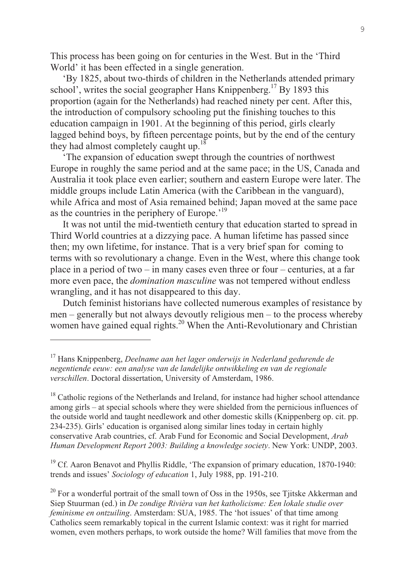This process has been going on for centuries in the West. But in the 'Third World' it has been effected in a single generation.

'By 1825, about two-thirds of children in the Netherlands attended primary school', writes the social geographer Hans Knippenberg.<sup>17</sup> By 1893 this proportion (again for the Netherlands) had reached ninety per cent. After this, the introduction of compulsory schooling put the finishing touches to this education campaign in 1901. At the beginning of this period, girls clearly lagged behind boys, by fifteen percentage points, but by the end of the century they had almost completely caught up.<sup>18</sup>

'The expansion of education swept through the countries of northwest Europe in roughly the same period and at the same pace; in the US, Canada and Australia it took place even earlier; southern and eastern Europe were later. The middle groups include Latin America (with the Caribbean in the vanguard), while Africa and most of Asia remained behind; Japan moved at the same pace as the countries in the periphery of Europe.'19

It was not until the mid-twentieth century that education started to spread in Third World countries at a dizzying pace. A human lifetime has passed since then; my own lifetime, for instance. That is a very brief span for coming to terms with so revolutionary a change. Even in the West, where this change took place in a period of two – in many cases even three or four – centuries, at a far more even pace, the *domination masculine* was not tempered without endless wrangling, and it has not disappeared to this day.

Dutch feminist historians have collected numerous examples of resistance by men – generally but not always devoutly religious men – to the process whereby women have gained equal rights.<sup>20</sup> When the Anti-Revolutionary and Christian

e<br>H

<sup>19</sup> Cf. Aaron Benavot and Phyllis Riddle, 'The expansion of primary education, 1870-1940: trends and issues' *Sociology of education* 1, July 1988, pp. 191-210.

<sup>17</sup> Hans Knippenberg, *Deelname aan het lager onderwijs in Nederland gedurende de negentiende eeuw: een analyse van de landelijke ontwikkeling en van de regionale verschillen*. Doctoral dissertation, University of Amsterdam, 1986.

 $18$  Catholic regions of the Netherlands and Ireland, for instance had higher school attendance among girls – at special schools where they were shielded from the pernicious influences of the outside world and taught needlework and other domestic skills (Knippenberg op. cit. pp. 234-235). Girls' education is organised along similar lines today in certain highly conservative Arab countries, cf. Arab Fund for Economic and Social Development, *Arab Human Development Report 2003: Building a knowledge society*. New York: UNDP, 2003.

 $20$  For a wonderful portrait of the small town of Oss in the 1950s, see Tjitske Akkerman and Siep Stuurman (ed.) in *De zondige Rivièra van het katholicisme: Een lokale studie over feminisme en ontzuiling*. Amsterdam: SUA, 1985. The 'hot issues' of that time among Catholics seem remarkably topical in the current Islamic context: was it right for married women, even mothers perhaps, to work outside the home? Will families that move from the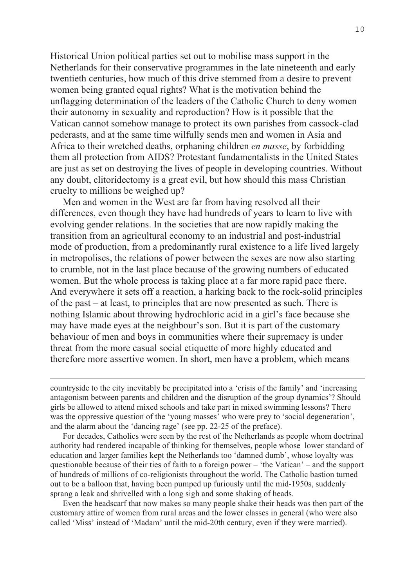Historical Union political parties set out to mobilise mass support in the Netherlands for their conservative programmes in the late nineteenth and early twentieth centuries, how much of this drive stemmed from a desire to prevent women being granted equal rights? What is the motivation behind the unflagging determination of the leaders of the Catholic Church to deny women their autonomy in sexuality and reproduction? How is it possible that the Vatican cannot somehow manage to protect its own parishes from cassock-clad pederasts, and at the same time wilfully sends men and women in Asia and Africa to their wretched deaths, orphaning children *en masse*, by forbidding them all protection from AIDS? Protestant fundamentalists in the United States are just as set on destroying the lives of people in developing countries. Without any doubt, clitoridectomy is a great evil, but how should this mass Christian cruelty to millions be weighed up?

Men and women in the West are far from having resolved all their differences, even though they have had hundreds of years to learn to live with evolving gender relations. In the societies that are now rapidly making the transition from an agricultural economy to an industrial and post-industrial mode of production, from a predominantly rural existence to a life lived largely in metropolises, the relations of power between the sexes are now also starting to crumble, not in the last place because of the growing numbers of educated women. But the whole process is taking place at a far more rapid pace there. And everywhere it sets off a reaction, a harking back to the rock-solid principles of the past – at least, to principles that are now presented as such. There is nothing Islamic about throwing hydrochloric acid in a girl's face because she may have made eyes at the neighbour's son. But it is part of the customary behaviour of men and boys in communities where their supremacy is under threat from the more casual social etiquette of more highly educated and therefore more assertive women. In short, men have a problem, which means

countryside to the city inevitably be precipitated into a 'crisis of the family' and 'increasing antagonism between parents and children and the disruption of the group dynamics'? Should girls be allowed to attend mixed schools and take part in mixed swimming lessons? There was the oppressive question of the 'young masses' who were prey to 'social degeneration', and the alarm about the 'dancing rage' (see pp. 22-25 of the preface).

i<br>L

For decades, Catholics were seen by the rest of the Netherlands as people whom doctrinal authority had rendered incapable of thinking for themselves, people whose lower standard of education and larger families kept the Netherlands too 'damned dumb', whose loyalty was questionable because of their ties of faith to a foreign power – 'the Vatican' – and the support of hundreds of millions of co-religionists throughout the world. The Catholic bastion turned out to be a balloon that, having been pumped up furiously until the mid-1950s, suddenly sprang a leak and shrivelled with a long sigh and some shaking of heads.

Even the headscarf that now makes so many people shake their heads was then part of the customary attire of women from rural areas and the lower classes in general (who were also called 'Miss' instead of 'Madam' until the mid-20th century, even if they were married).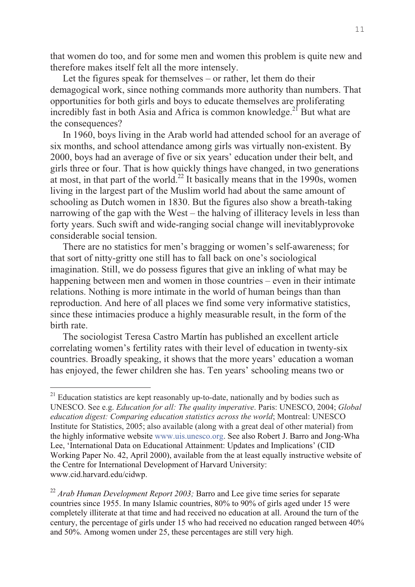that women do too, and for some men and women this problem is quite new and therefore makes itself felt all the more intensely.

Let the figures speak for themselves – or rather, let them do their demagogical work, since nothing commands more authority than numbers. That opportunities for both girls and boys to educate themselves are proliferating incredibly fast in both Asia and Africa is common knowledge.<sup>21</sup> But what are the consequences?

In 1960, boys living in the Arab world had attended school for an average of six months, and school attendance among girls was virtually non-existent. By 2000, boys had an average of five or six years' education under their belt, and girls three or four. That is how quickly things have changed, in two generations at most, in that part of the world.<sup>22</sup> It basically means that in the 1990s, women living in the largest part of the Muslim world had about the same amount of schooling as Dutch women in 1830. But the figures also show a breath-taking narrowing of the gap with the West – the halving of illiteracy levels in less than forty years. Such swift and wide-ranging social change will inevitablyprovoke considerable social tension.

There are no statistics for men's bragging or women's self-awareness; for that sort of nitty-gritty one still has to fall back on one's sociological imagination. Still, we do possess figures that give an inkling of what may be happening between men and women in those countries – even in their intimate relations. Nothing is more intimate in the world of human beings than than reproduction. And here of all places we find some very informative statistics, since these intimacies produce a highly measurable result, in the form of the birth rate.

The sociologist Teresa Castro Martín has published an excellent article correlating women's fertility rates with their level of education in twenty-six countries. Broadly speaking, it shows that the more years' education a woman has enjoyed, the fewer children she has. Ten years' schooling means two or

 $21$  Education statistics are kept reasonably up-to-date, nationally and by bodies such as UNESCO. See e.g. *Education for all: The quality imperative*. Paris: UNESCO, 2004; *Global education digest: Comparing education statistics across the world*; Montreal: UNESCO Institute for Statistics, 2005; also available (along with a great deal of other material) from the highly informative website www.uis.unesco.org. See also Robert J. Barro and Jong-Wha Lee, 'International Data on Educational Attainment: Updates and Implications' (CID Working Paper No. 42, April 2000), available from the at least equally instructive website of the Centre for International Development of Harvard University: www.cid.harvard.edu/cidwp.

<sup>&</sup>lt;sup>22</sup> Arab Human Development Report 2003; Barro and Lee give time series for separate countries since 1955. In many Islamic countries, 80% to 90% of girls aged under 15 were completely illiterate at that time and had received no education at all. Around the turn of the century, the percentage of girls under 15 who had received no education ranged between 40% and 50%. Among women under 25, these percentages are still very high.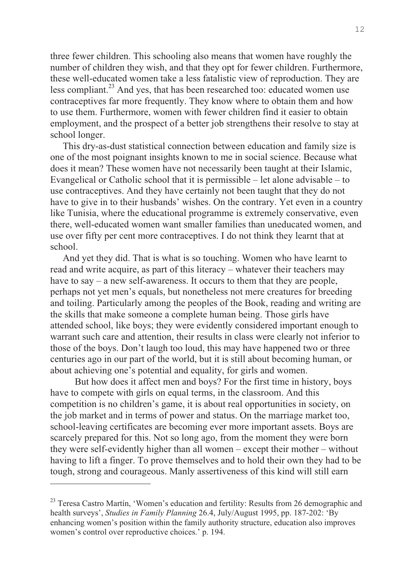three fewer children. This schooling also means that women have roughly the number of children they wish, and that they opt for fewer children. Furthermore, these well-educated women take a less fatalistic view of reproduction. They are less compliant.<sup>23</sup> And yes, that has been researched too: educated women use contraceptives far more frequently. They know where to obtain them and how to use them. Furthermore, women with fewer children find it easier to obtain employment, and the prospect of a better job strengthens their resolve to stay at school longer.

This dry-as-dust statistical connection between education and family size is one of the most poignant insights known to me in social science. Because what does it mean? These women have not necessarily been taught at their Islamic, Evangelical or Catholic school that it is permissible – let alone advisable – to use contraceptives. And they have certainly not been taught that they do not have to give in to their husbands' wishes. On the contrary. Yet even in a country like Tunisia, where the educational programme is extremely conservative, even there, well-educated women want smaller families than uneducated women, and use over fifty per cent more contraceptives. I do not think they learnt that at school.

And yet they did. That is what is so touching. Women who have learnt to read and write acquire, as part of this literacy – whatever their teachers may have to say – a new self-awareness. It occurs to them that they are people, perhaps not yet men's equals, but nonetheless not mere creatures for breeding and toiling. Particularly among the peoples of the Book, reading and writing are the skills that make someone a complete human being. Those girls have attended school, like boys; they were evidently considered important enough to warrant such care and attention, their results in class were clearly not inferior to those of the boys. Don't laugh too loud, this may have happened two or three centuries ago in our part of the world, but it is still about becoming human, or about achieving one's potential and equality, for girls and women.

But how does it affect men and boys? For the first time in history, boys have to compete with girls on equal terms, in the classroom. And this competition is no children's game, it is about real opportunities in society, on the job market and in terms of power and status. On the marriage market too, school-leaving certificates are becoming ever more important assets. Boys are scarcely prepared for this. Not so long ago, from the moment they were born they were self-evidently higher than all women – except their mother – without having to lift a finger. To prove themselves and to hold their own they had to be tough, strong and courageous. Manly assertiveness of this kind will still earn

 $23$  Teresa Castro Martín, 'Women's education and fertility: Results from 26 demographic and health surveys', *Studies in Family Planning* 26.4, July/August 1995, pp. 187-202: 'By enhancing women's position within the family authority structure, education also improves women's control over reproductive choices.' p. 194.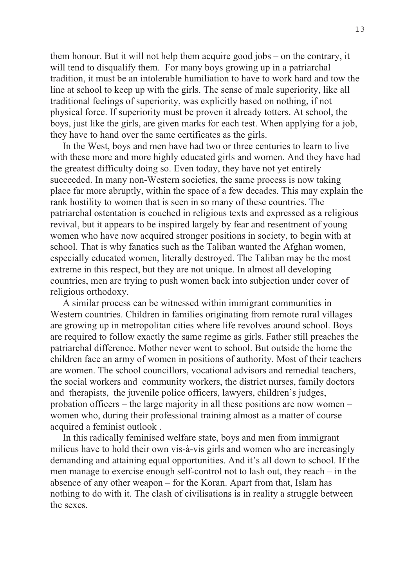them honour. But it will not help them acquire good jobs – on the contrary, it will tend to disqualify them. For many boys growing up in a patriarchal tradition, it must be an intolerable humiliation to have to work hard and tow the line at school to keep up with the girls. The sense of male superiority, like all traditional feelings of superiority, was explicitly based on nothing, if not physical force. If superiority must be proven it already totters. At school, the boys, just like the girls, are given marks for each test. When applying for a job, they have to hand over the same certificates as the girls.

In the West, boys and men have had two or three centuries to learn to live with these more and more highly educated girls and women. And they have had the greatest difficulty doing so. Even today, they have not yet entirely succeeded. In many non-Western societies, the same process is now taking place far more abruptly, within the space of a few decades. This may explain the rank hostility to women that is seen in so many of these countries. The patriarchal ostentation is couched in religious texts and expressed as a religious revival, but it appears to be inspired largely by fear and resentment of young women who have now acquired stronger positions in society, to begin with at school. That is why fanatics such as the Taliban wanted the Afghan women, especially educated women, literally destroyed. The Taliban may be the most extreme in this respect, but they are not unique. In almost all developing countries, men are trying to push women back into subjection under cover of religious orthodoxy.

A similar process can be witnessed within immigrant communities in Western countries. Children in families originating from remote rural villages are growing up in metropolitan cities where life revolves around school. Boys are required to follow exactly the same regime as girls. Father still preaches the patriarchal difference. Mother never went to school. But outside the home the children face an army of women in positions of authority. Most of their teachers are women. The school councillors, vocational advisors and remedial teachers, the social workers and community workers, the district nurses, family doctors and therapists, the juvenile police officers, lawyers, children's judges, probation officers – the large majority in all these positions are now women – women who, during their professional training almost as a matter of course acquired a feminist outlook .

In this radically feminised welfare state, boys and men from immigrant milieus have to hold their own vis-à-vis girls and women who are increasingly demanding and attaining equal opportunities. And it's all down to school. If the men manage to exercise enough self-control not to lash out, they reach – in the absence of any other weapon – for the Koran. Apart from that, Islam has nothing to do with it. The clash of civilisations is in reality a struggle between the sexes.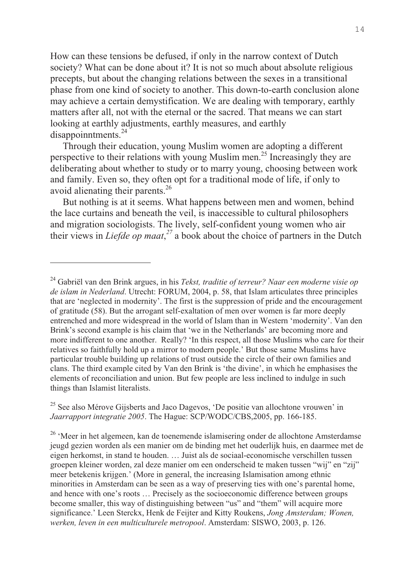How can these tensions be defused, if only in the narrow context of Dutch society? What can be done about it? It is not so much about absolute religious precepts, but about the changing relations between the sexes in a transitional phase from one kind of society to another. This down-to-earth conclusion alone may achieve a certain demystification. We are dealing with temporary, earthly matters after all, not with the eternal or the sacred. That means we can start looking at earthly adjustments, earthly measures, and earthly  $disappointments.<sup>24</sup>$ 

Through their education, young Muslim women are adopting a different perspective to their relations with young Muslim men.<sup>25</sup> Increasingly they are deliberating about whether to study or to marry young, choosing between work and family. Even so, they often opt for a traditional mode of life, if only to avoid alienating their parents.<sup>26</sup>

But nothing is at it seems. What happens between men and women, behind the lace curtains and beneath the veil, is inaccessible to cultural philosophers and migration sociologists. The lively, self-confident young women who air their views in *Liefde op maat*, *<sup>27</sup>* a book about the choice of partners in the Dutch

i<br>L

 $25$  See also Mérove Gijsberts and Jaco Dagevos, 'De positie van allochtone vrouwen' in *Jaarrapport integratie 2005*. The Hague: SCP/WODC/CBS,2005, pp. 166-185.

<sup>26</sup> 'Meer in het algemeen, kan de toenemende islamisering onder de allochtone Amsterdamse jeugd gezien worden als een manier om de binding met het ouderlijk huis, en daarmee met de eigen herkomst, in stand te houden. … Juist als de sociaal-economische verschillen tussen groepen kleiner worden, zal deze manier om een onderscheid te maken tussen "wij" en "zij" meer betekenis krijgen.' (More in general, the increasing Islamisation among ethnic minorities in Amsterdam can be seen as a way of preserving ties with one's parental home, and hence with one's roots … Precisely as the socioeconomic difference between groups become smaller, this way of distinguishing between "us" and "them" will acquire more significance.' Leen Sterckx, Henk de Feijter and Kitty Roukens, *Jong Amsterdam; Wonen, werken, leven in een multiculturele metropool*. Amsterdam: SISWO, 2003, p. 126.

<sup>24</sup> Gabriël van den Brink argues, in his *Tekst, traditie of terreur? Naar een moderne visie op de islam in Nederland*. Utrecht: FORUM, 2004, p. 58, that Islam articulates three principles that are 'neglected in modernity'. The first is the suppression of pride and the encouragement of gratitude (58). But the arrogant self-exaltation of men over women is far more deeply entrenched and more widespread in the world of Islam than in Western 'modernity'. Van den Brink's second example is his claim that 'we in the Netherlands' are becoming more and more indifferent to one another. Really? 'In this respect, all those Muslims who care for their relatives so faithfully hold up a mirror to modern people.' But those same Muslims have particular trouble building up relations of trust outside the circle of their own families and clans. The third example cited by Van den Brink is 'the divine', in which he emphasises the elements of reconciliation and union. But few people are less inclined to indulge in such things than Islamist literalists.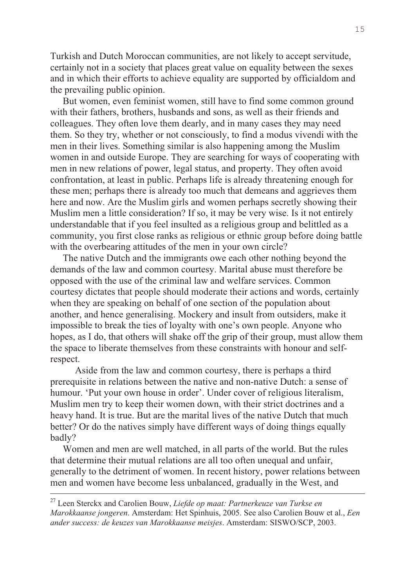Turkish and Dutch Moroccan communities, are not likely to accept servitude, certainly not in a society that places great value on equality between the sexes and in which their efforts to achieve equality are supported by officialdom and the prevailing public opinion.

But women, even feminist women, still have to find some common ground with their fathers, brothers, husbands and sons, as well as their friends and colleagues. They often love them dearly, and in many cases they may need them. So they try, whether or not consciously, to find a modus vivendi with the men in their lives. Something similar is also happening among the Muslim women in and outside Europe. They are searching for ways of cooperating with men in new relations of power, legal status, and property. They often avoid confrontation, at least in public. Perhaps life is already threatening enough for these men; perhaps there is already too much that demeans and aggrieves them here and now. Are the Muslim girls and women perhaps secretly showing their Muslim men a little consideration? If so, it may be very wise. Is it not entirely understandable that if you feel insulted as a religious group and belittled as a community, you first close ranks as religious or ethnic group before doing battle with the overbearing attitudes of the men in your own circle?

The native Dutch and the immigrants owe each other nothing beyond the demands of the law and common courtesy. Marital abuse must therefore be opposed with the use of the criminal law and welfare services. Common courtesy dictates that people should moderate their actions and words, certainly when they are speaking on behalf of one section of the population about another, and hence generalising. Mockery and insult from outsiders, make it impossible to break the ties of loyalty with one's own people. Anyone who hopes, as I do, that others will shake off the grip of their group, must allow them the space to liberate themselves from these constraints with honour and selfrespect.

Aside from the law and common courtesy, there is perhaps a third prerequisite in relations between the native and non-native Dutch: a sense of humour. 'Put your own house in order'. Under cover of religious literalism, Muslim men try to keep their women down, with their strict doctrines and a heavy hand. It is true. But are the marital lives of the native Dutch that much better? Or do the natives simply have different ways of doing things equally badly?

Women and men are well matched, in all parts of the world. But the rules that determine their mutual relations are all too often unequal and unfair, generally to the detriment of women. In recent history, power relations between men and women have become less unbalanced, gradually in the West, and

<sup>27</sup> Leen Sterckx and Carolien Bouw, *Liefde op maat: Partnerkeuze van Turkse en Marokkaanse jongeren*. Amsterdam: Het Spinhuis, 2005. See also Carolien Bouw et al., *Een ander success: de keuzes van Marokkaanse meisjes*. Amsterdam: SISWO/SCP, 2003.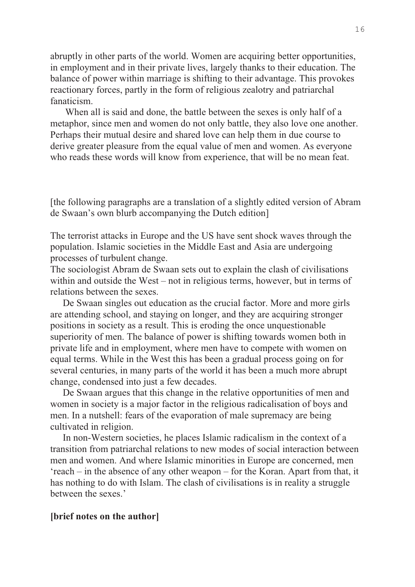abruptly in other parts of the world. Women are acquiring better opportunities, in employment and in their private lives, largely thanks to their education. The balance of power within marriage is shifting to their advantage. This provokes reactionary forces, partly in the form of religious zealotry and patriarchal fanaticism.

 When all is said and done, the battle between the sexes is only half of a metaphor, since men and women do not only battle, they also love one another. Perhaps their mutual desire and shared love can help them in due course to derive greater pleasure from the equal value of men and women. As everyone who reads these words will know from experience, that will be no mean feat.

[the following paragraphs are a translation of a slightly edited version of Abram de Swaan's own blurb accompanying the Dutch edition]

The terrorist attacks in Europe and the US have sent shock waves through the population. Islamic societies in the Middle East and Asia are undergoing processes of turbulent change.

The sociologist Abram de Swaan sets out to explain the clash of civilisations within and outside the West – not in religious terms, however, but in terms of relations between the sexes.

De Swaan singles out education as the crucial factor. More and more girls are attending school, and staying on longer, and they are acquiring stronger positions in society as a result. This is eroding the once unquestionable superiority of men. The balance of power is shifting towards women both in private life and in employment, where men have to compete with women on equal terms. While in the West this has been a gradual process going on for several centuries, in many parts of the world it has been a much more abrupt change, condensed into just a few decades.

De Swaan argues that this change in the relative opportunities of men and women in society is a major factor in the religious radicalisation of boys and men. In a nutshell: fears of the evaporation of male supremacy are being cultivated in religion.

In non-Western societies, he places Islamic radicalism in the context of a transition from patriarchal relations to new modes of social interaction between men and women. And where Islamic minorities in Europe are concerned, men 'reach – in the absence of any other weapon – for the Koran. Apart from that, it has nothing to do with Islam. The clash of civilisations is in reality a struggle between the sexes.'

## **[brief notes on the author]**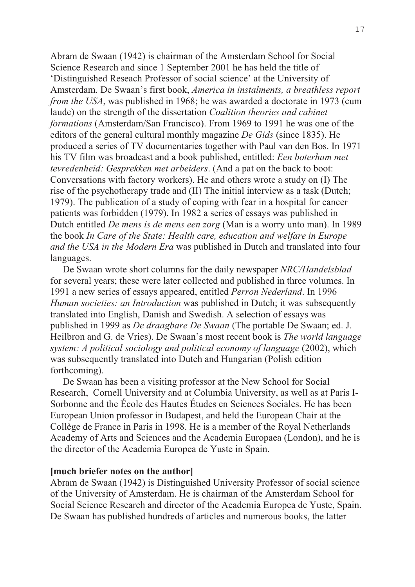Abram de Swaan (1942) is chairman of the Amsterdam School for Social Science Research and since 1 September 2001 he has held the title of 'Distinguished Reseach Professor of social science' at the University of Amsterdam. De Swaan's first book, *America in instalments, a breathless report from the USA*, was published in 1968; he was awarded a doctorate in 1973 (cum laude) on the strength of the dissertation *Coalition theories and cabinet formations* (Amsterdam/San Francisco). From 1969 to 1991 he was one of the editors of the general cultural monthly magazine *De Gids* (since 1835). He produced a series of TV documentaries together with Paul van den Bos. In 1971 his TV film was broadcast and a book published, entitled: *Een boterham met tevredenheid: Gesprekken met arbeiders*. (And a pat on the back to boot: Conversations with factory workers). He and others wrote a study on (I) The rise of the psychotherapy trade and (II) The initial interview as a task (Dutch; 1979). The publication of a study of coping with fear in a hospital for cancer patients was forbidden (1979). In 1982 a series of essays was published in Dutch entitled *De mens is de mens een zorg* (Man is a worry unto man). In 1989 the book *In Care of the State: Health care, education and welfare in Europe and the USA in the Modern Era* was published in Dutch and translated into four languages.

De Swaan wrote short columns for the daily newspaper *NRC/Handelsblad* for several years; these were later collected and published in three volumes. In 1991 a new series of essays appeared, entitled *Perron Nederland*. In 1996 *Human societies: an Introduction* was published in Dutch; it was subsequently translated into English, Danish and Swedish. A selection of essays was published in 1999 as *De draagbare De Swaan* (The portable De Swaan; ed. J. Heilbron and G. de Vries). De Swaan's most recent book is *The world language system: A political sociology and political economy of language* (2002), which was subsequently translated into Dutch and Hungarian (Polish edition forthcoming).

De Swaan has been a visiting professor at the New School for Social Research, Cornell University and at Columbia University, as well as at Paris I-Sorbonne and the École des Hautes Études en Sciences Sociales. He has been European Union professor in Budapest, and held the European Chair at the Collège de France in Paris in 1998. He is a member of the Royal Netherlands Academy of Arts and Sciences and the Academia Europaea (London), and he is the director of the Academia Europea de Yuste in Spain.

#### **[much briefer notes on the author]**

Abram de Swaan (1942) is Distinguished University Professor of social science of the University of Amsterdam. He is chairman of the Amsterdam School for Social Science Research and director of the Academia Europea de Yuste, Spain. De Swaan has published hundreds of articles and numerous books, the latter